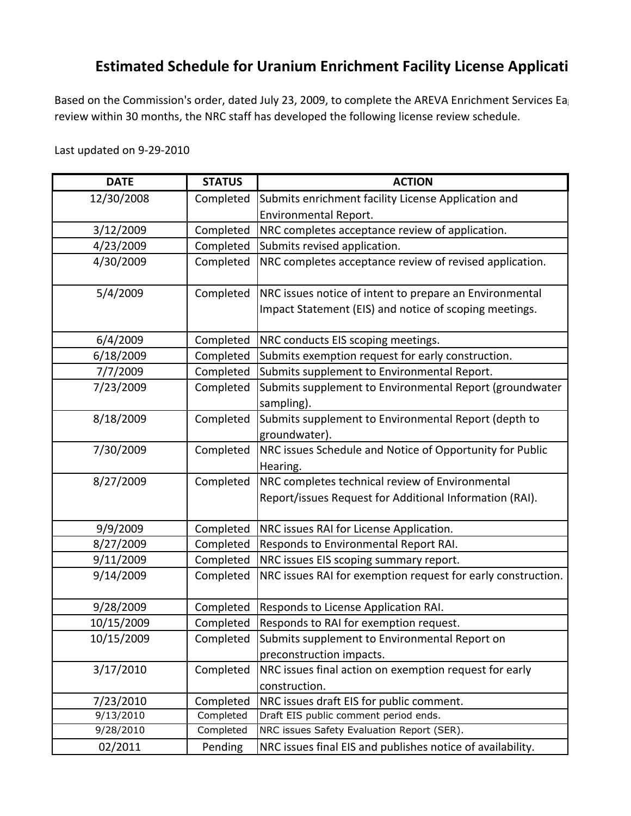## **Estimated Schedule for Uranium Enrichment Facility License Applicati**

Based on the Commission's order, dated July 23, 2009, to complete the AREVA Enrichment Services Ea review within 30 months, the NRC staff has developed the following license review schedule.

## Last updated on 9-29-2010

| <b>DATE</b> | <b>STATUS</b> | <b>ACTION</b>                                                         |
|-------------|---------------|-----------------------------------------------------------------------|
| 12/30/2008  | Completed     | Submits enrichment facility License Application and                   |
|             |               | <b>Environmental Report.</b>                                          |
| 3/12/2009   | Completed     | NRC completes acceptance review of application.                       |
| 4/23/2009   | Completed     | Submits revised application.                                          |
| 4/30/2009   | Completed     | NRC completes acceptance review of revised application.               |
| 5/4/2009    | Completed     | NRC issues notice of intent to prepare an Environmental               |
|             |               | Impact Statement (EIS) and notice of scoping meetings.                |
| 6/4/2009    | Completed     | NRC conducts EIS scoping meetings.                                    |
| 6/18/2009   | Completed     | Submits exemption request for early construction.                     |
| 7/7/2009    | Completed     | Submits supplement to Environmental Report.                           |
| 7/23/2009   | Completed     | Submits supplement to Environmental Report (groundwater               |
|             |               | sampling).                                                            |
| 8/18/2009   | Completed     | Submits supplement to Environmental Report (depth to<br>groundwater). |
| 7/30/2009   | Completed     | NRC issues Schedule and Notice of Opportunity for Public              |
|             |               | Hearing.                                                              |
| 8/27/2009   | Completed     | NRC completes technical review of Environmental                       |
|             |               | Report/issues Request for Additional Information (RAI).               |
| 9/9/2009    | Completed     | NRC issues RAI for License Application.                               |
| 8/27/2009   | Completed     | Responds to Environmental Report RAI.                                 |
| 9/11/2009   | Completed     | NRC issues EIS scoping summary report.                                |
| 9/14/2009   | Completed     | NRC issues RAI for exemption request for early construction.          |
| 9/28/2009   | Completed     | Responds to License Application RAI.                                  |
| 10/15/2009  | Completed     | Responds to RAI for exemption request.                                |
| 10/15/2009  | Completed     | Submits supplement to Environmental Report on                         |
|             |               | preconstruction impacts.                                              |
| 3/17/2010   | Completed     | NRC issues final action on exemption request for early                |
|             |               | construction.                                                         |
| 7/23/2010   | Completed     | NRC issues draft EIS for public comment.                              |
| 9/13/2010   | Completed     | Draft EIS public comment period ends.                                 |
| 9/28/2010   | Completed     | NRC issues Safety Evaluation Report (SER).                            |
| 02/2011     | Pending       | NRC issues final EIS and publishes notice of availability.            |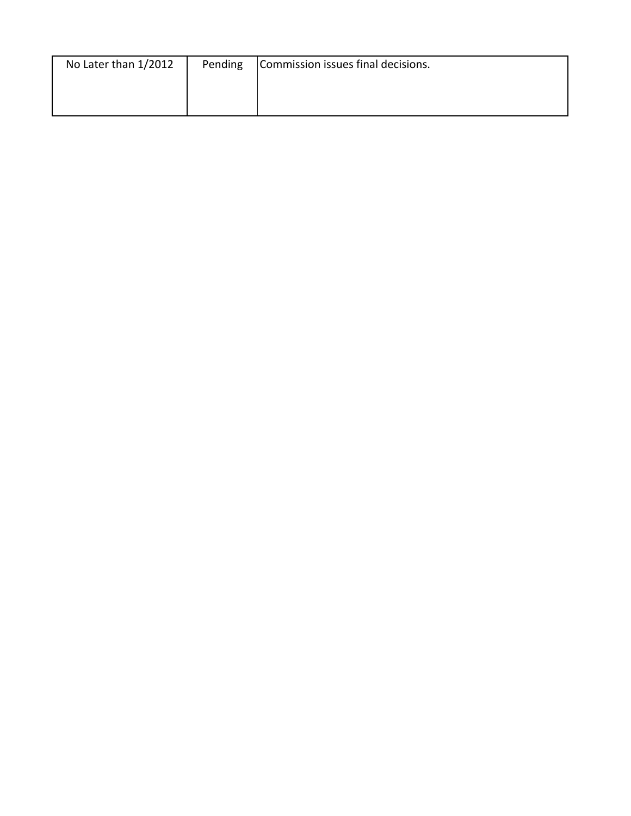| No Later than 1/2012 | Pending | Commission issues final decisions. |
|----------------------|---------|------------------------------------|
|                      |         |                                    |
|                      |         |                                    |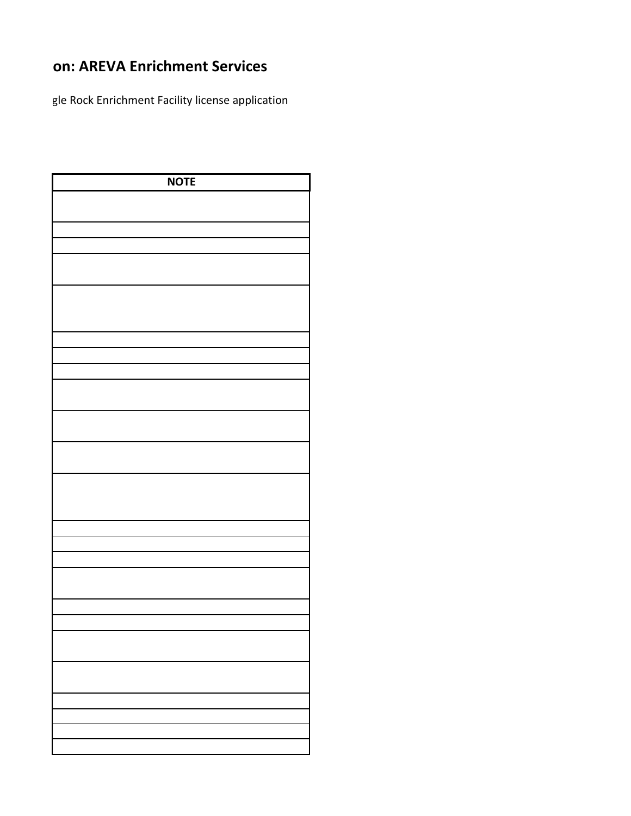## **on: AREVA Enrichment Services**

gle Rock Enrichment Facility license application

| <b>NOTE</b> |  |
|-------------|--|
|             |  |
|             |  |
|             |  |
|             |  |
|             |  |
|             |  |
|             |  |
|             |  |
|             |  |
|             |  |
|             |  |
|             |  |
|             |  |
|             |  |
|             |  |
|             |  |
|             |  |
|             |  |
|             |  |
|             |  |
|             |  |
|             |  |
|             |  |
|             |  |
|             |  |
|             |  |
|             |  |
|             |  |
|             |  |
|             |  |
|             |  |
|             |  |
|             |  |
|             |  |